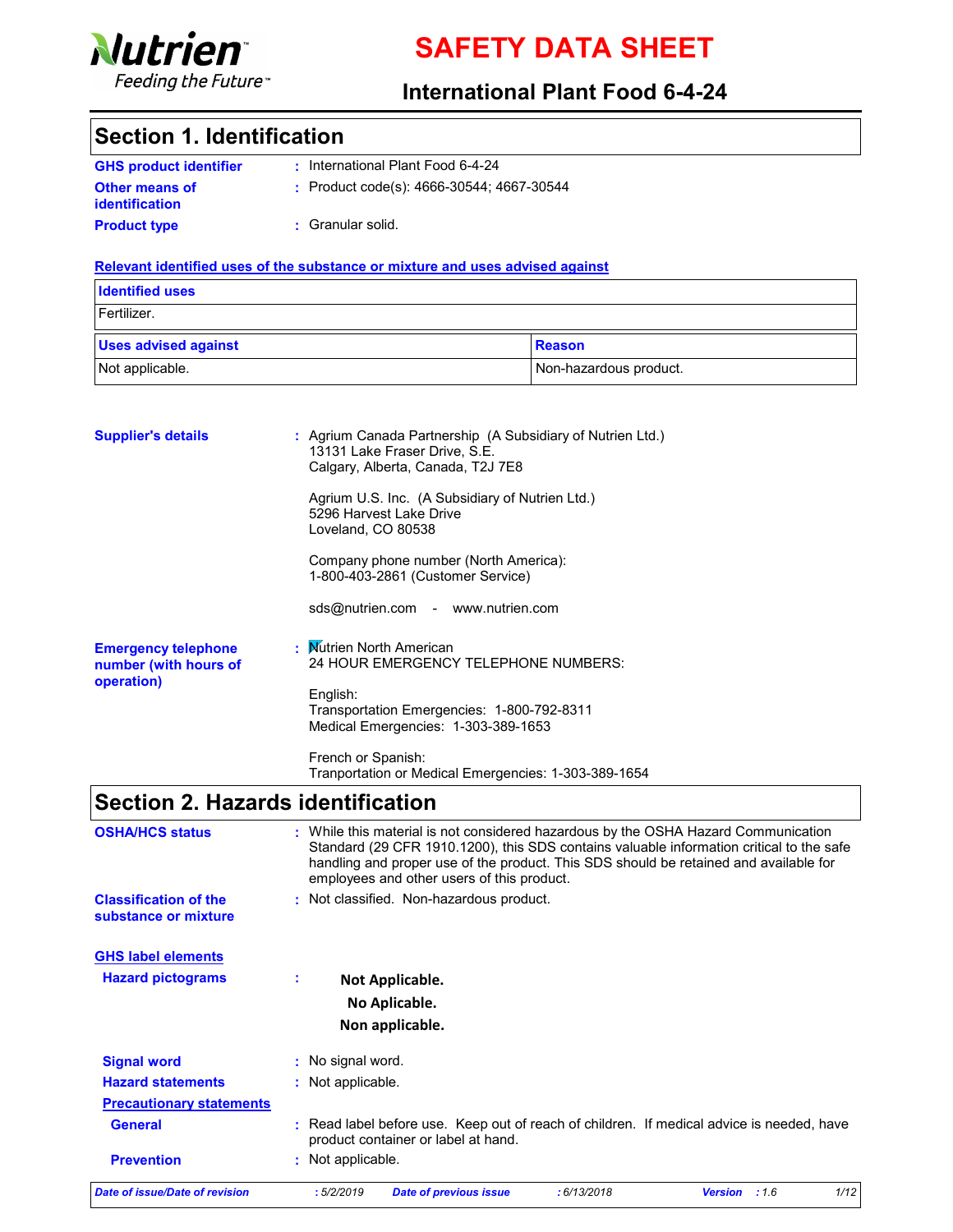

# SAFETY DATA SHEET

### International Plant Food 6-4-24

### Section 1. Identification

| <b>GHS product identifier</b> | : International Plant Food 6-4-24              |
|-------------------------------|------------------------------------------------|
| <b>Other means of</b>         | : Product code(s): $4666-30544$ ; $4667-30544$ |
| <i>identification</i>         |                                                |
| <b>Product type</b>           | : Granular solid.                              |

### Relevant identified uses of the substance or mixture and uses advised against

| <b>Identified uses</b>      |                        |
|-----------------------------|------------------------|
| Fertilizer.                 |                        |
| <b>Uses advised against</b> | <b>Reason</b>          |
| Not applicable.             | Non-hazardous product. |

| <b>Supplier's details</b>                                         | : Agrium Canada Partnership (A Subsidiary of Nutrien Ltd.)<br>13131 Lake Fraser Drive, S.E.<br>Calgary, Alberta, Canada, T2J 7E8 |
|-------------------------------------------------------------------|----------------------------------------------------------------------------------------------------------------------------------|
|                                                                   | Agrium U.S. Inc. (A Subsidiary of Nutrien Ltd.)<br>5296 Harvest Lake Drive<br>Loveland, CO 80538                                 |
|                                                                   | Company phone number (North America):<br>1-800-403-2861 (Customer Service)                                                       |
|                                                                   | sds@nutrien.com - www.nutrien.com                                                                                                |
| <b>Emergency telephone</b><br>number (with hours of<br>operation) | : Mutrien North American<br>24 HOUR EMERGENCY TELEPHONE NUMBERS:                                                                 |
|                                                                   | English:<br>Transportation Emergencies: 1-800-792-8311<br>Medical Emergencies: 1-303-389-1653                                    |
|                                                                   | French or Spanish:<br>Tranportation or Medical Emergencies: 1-303-389-1654                                                       |

## Section 2. Hazards identification

| <b>OSHA/HCS status</b>                               | : While this material is not considered hazardous by the OSHA Hazard Communication<br>Standard (29 CFR 1910.1200), this SDS contains valuable information critical to the safe<br>handling and proper use of the product. This SDS should be retained and available for<br>employees and other users of this product. |
|------------------------------------------------------|-----------------------------------------------------------------------------------------------------------------------------------------------------------------------------------------------------------------------------------------------------------------------------------------------------------------------|
| <b>Classification of the</b><br>substance or mixture | : Not classified. Non-hazardous product.                                                                                                                                                                                                                                                                              |
| <b>GHS label elements</b>                            |                                                                                                                                                                                                                                                                                                                       |
| <b>Hazard pictograms</b>                             | ÷.<br>Not Applicable.                                                                                                                                                                                                                                                                                                 |
|                                                      | No Aplicable.                                                                                                                                                                                                                                                                                                         |
|                                                      | Non applicable.                                                                                                                                                                                                                                                                                                       |
| <b>Signal word</b>                                   | : No signal word.                                                                                                                                                                                                                                                                                                     |
| <b>Hazard statements</b>                             | : Not applicable.                                                                                                                                                                                                                                                                                                     |
| <b>Precautionary statements</b>                      |                                                                                                                                                                                                                                                                                                                       |
| <b>General</b>                                       | : Read label before use. Keep out of reach of children. If medical advice is needed, have<br>product container or label at hand.                                                                                                                                                                                      |
| <b>Prevention</b>                                    | : Not applicable.                                                                                                                                                                                                                                                                                                     |
| <b>Date of issue/Date of revision</b>                | 1/12<br>:5/2/2019<br>: 6/13/2018<br>:1.6<br><b>Date of previous issue</b><br><b>Version</b>                                                                                                                                                                                                                           |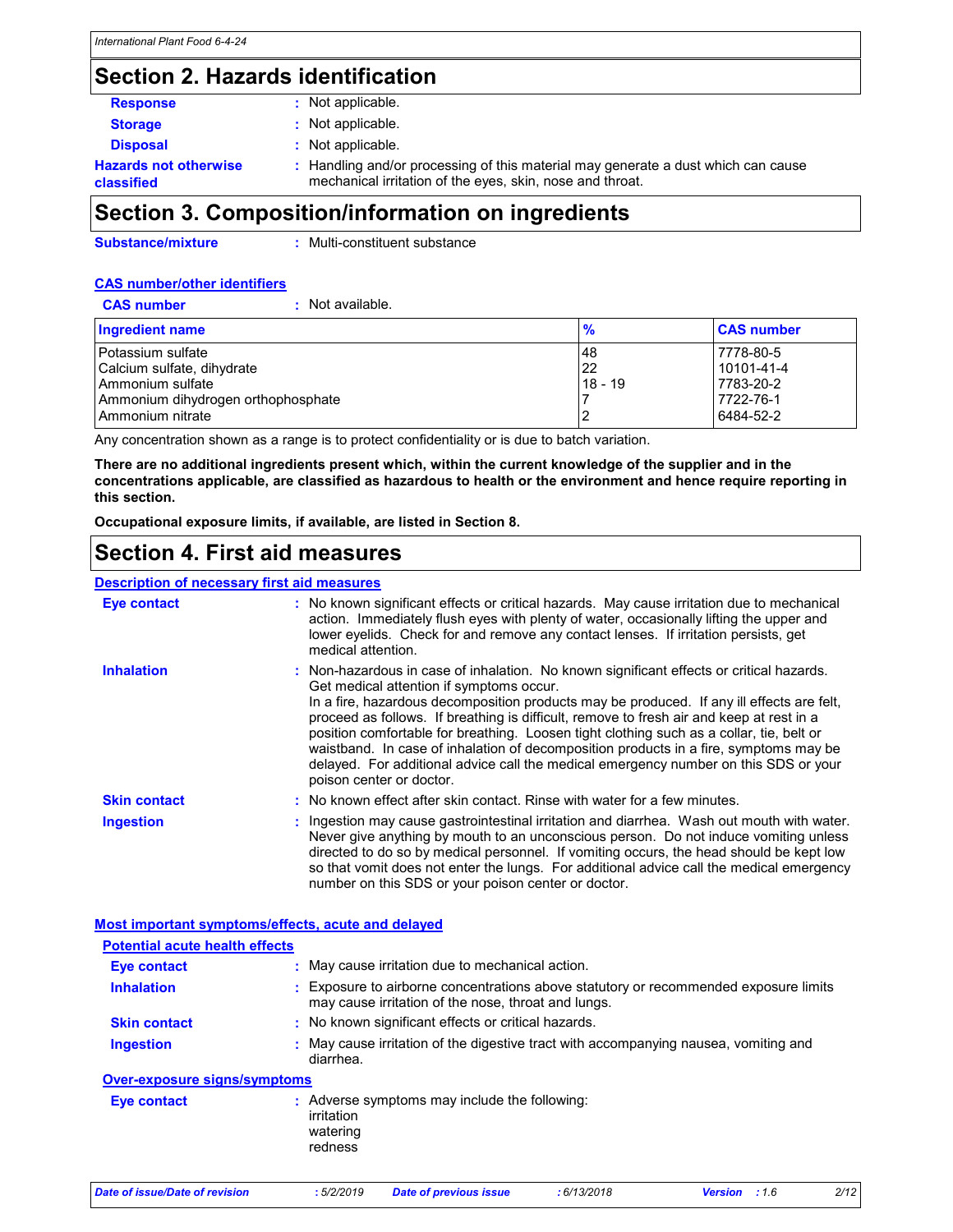## Section 2. Hazards identification

| $\Omega$ cation 2. Composition linformation on inquadiante |                                                                                                                                              |  |  |
|------------------------------------------------------------|----------------------------------------------------------------------------------------------------------------------------------------------|--|--|
| <b>Hazards not otherwise</b><br>classified                 | Handling and/or processing of this material may generate a dust which can cause<br>mechanical irritation of the eyes, skin, nose and throat. |  |  |
| <b>Disposal</b>                                            | : Not applicable.                                                                                                                            |  |  |
| <b>Storage</b>                                             | : Not applicable.                                                                                                                            |  |  |
| <b>Response</b>                                            | Not applicable.                                                                                                                              |  |  |

### Section 3. Composition/information on ingredients

Substance/mixture

: Multi-constituent substance

### CAS number/other identifiers

CAS number : Not available.

| <b>Ingredient name</b>             | $\frac{9}{6}$ | <b>CAS number</b> |
|------------------------------------|---------------|-------------------|
| l Potassium sulfate                | 48            | 7778-80-5         |
| Calcium sulfate, dihydrate         | 22            | 10101-41-4        |
| l Ammonium sulfate                 | $18 - 19$     | 7783-20-2         |
| Ammonium dihydrogen orthophosphate |               | 7722-76-1         |
| l Ammonium nitrate                 |               | 6484-52-2         |

Any concentration shown as a range is to protect confidentiality or is due to batch variation.

There are no additional ingredients present which, within the current knowledge of the supplier and in the concentrations applicable, are classified as hazardous to health or the environment and hence require reporting in this section.

Occupational exposure limits, if available, are listed in Section 8.

## Section 4. First aid measures

Description of necessary first aid measures

| <b>Eye contact</b>                                 | No known significant effects or critical hazards. May cause irritation due to mechanical<br>action. Immediately flush eyes with plenty of water, occasionally lifting the upper and<br>lower eyelids. Check for and remove any contact lenses. If irritation persists, get<br>medical attention.                                                                                                                                                                                                                                                                                                                                     |  |  |  |  |  |
|----------------------------------------------------|--------------------------------------------------------------------------------------------------------------------------------------------------------------------------------------------------------------------------------------------------------------------------------------------------------------------------------------------------------------------------------------------------------------------------------------------------------------------------------------------------------------------------------------------------------------------------------------------------------------------------------------|--|--|--|--|--|
| <b>Inhalation</b>                                  | Non-hazardous in case of inhalation. No known significant effects or critical hazards.<br>Get medical attention if symptoms occur.<br>In a fire, hazardous decomposition products may be produced. If any ill effects are felt,<br>proceed as follows. If breathing is difficult, remove to fresh air and keep at rest in a<br>position comfortable for breathing. Loosen tight clothing such as a collar, tie, belt or<br>waistband. In case of inhalation of decomposition products in a fire, symptoms may be<br>delayed. For additional advice call the medical emergency number on this SDS or your<br>poison center or doctor. |  |  |  |  |  |
| <b>Skin contact</b>                                | No known effect after skin contact. Rinse with water for a few minutes.                                                                                                                                                                                                                                                                                                                                                                                                                                                                                                                                                              |  |  |  |  |  |
| <b>Ingestion</b>                                   | Ingestion may cause gastrointestinal irritation and diarrhea. Wash out mouth with water.<br>Never give anything by mouth to an unconscious person. Do not induce vomiting unless<br>directed to do so by medical personnel. If vomiting occurs, the head should be kept low<br>so that vomit does not enter the lungs. For additional advice call the medical emergency<br>number on this SDS or your poison center or doctor.                                                                                                                                                                                                       |  |  |  |  |  |
| Most important symptoms/effects, acute and delayed |                                                                                                                                                                                                                                                                                                                                                                                                                                                                                                                                                                                                                                      |  |  |  |  |  |
| <b>Potential acute health effects</b>              |                                                                                                                                                                                                                                                                                                                                                                                                                                                                                                                                                                                                                                      |  |  |  |  |  |
| <b>Eye contact</b>                                 | May cause irritation due to mechanical action.                                                                                                                                                                                                                                                                                                                                                                                                                                                                                                                                                                                       |  |  |  |  |  |
| <b>Inhalation</b>                                  | Exposure to airborne concentrations above statutory or recommended exposure limits<br>may cause irritation of the nose, throat and lungs.                                                                                                                                                                                                                                                                                                                                                                                                                                                                                            |  |  |  |  |  |
| <b>Skin contact</b>                                | : No known significant effects or critical hazards.                                                                                                                                                                                                                                                                                                                                                                                                                                                                                                                                                                                  |  |  |  |  |  |
| <b>Ingestion</b>                                   | May cause irritation of the digestive tract with accompanying nausea, vomiting and<br>diarrhea.                                                                                                                                                                                                                                                                                                                                                                                                                                                                                                                                      |  |  |  |  |  |
| <b>Over-exposure signs/symptoms</b>                |                                                                                                                                                                                                                                                                                                                                                                                                                                                                                                                                                                                                                                      |  |  |  |  |  |
| <b>Eye contact</b>                                 | : Adverse symptoms may include the following:<br>irritation<br>watering<br>redness                                                                                                                                                                                                                                                                                                                                                                                                                                                                                                                                                   |  |  |  |  |  |
| Date of issue/Date of revision                     | :5/2/2019<br>: 6/13/2018<br>2/12<br>Version : 1.6<br><b>Date of previous issue</b>                                                                                                                                                                                                                                                                                                                                                                                                                                                                                                                                                   |  |  |  |  |  |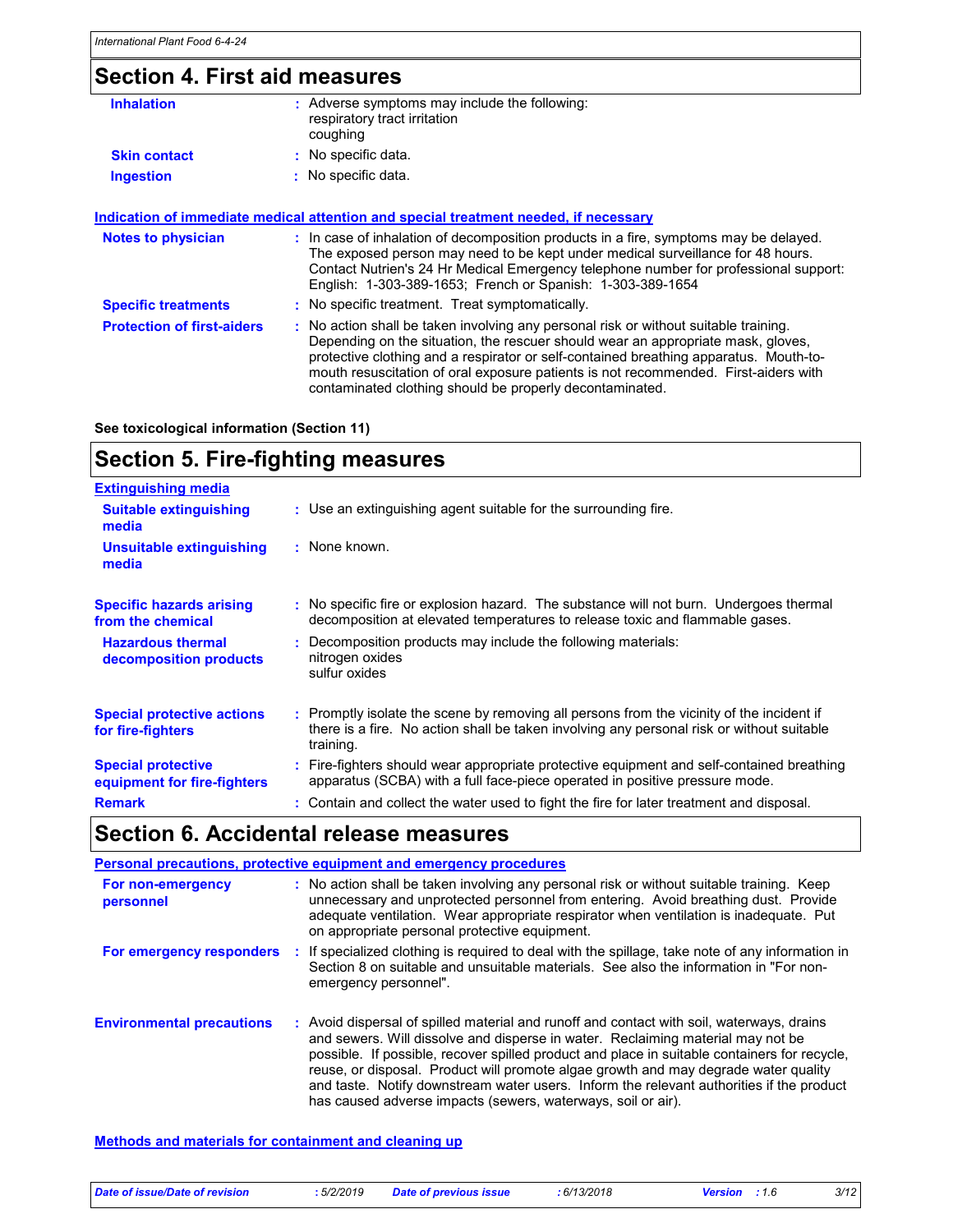## Section 4. First aid measures

| <b>Inhalation</b>   | : Adverse symptoms may include the following:<br>respiratory tract irritation<br>coughing |
|---------------------|-------------------------------------------------------------------------------------------|
| <b>Skin contact</b> | : No specific data.                                                                       |
| <b>Ingestion</b>    | : No specific data.                                                                       |

### Indication of immediate medical attention and special treatment needed, if necessary

| <b>Notes to physician</b>         | : In case of inhalation of decomposition products in a fire, symptoms may be delayed.<br>The exposed person may need to be kept under medical surveillance for 48 hours.<br>Contact Nutrien's 24 Hr Medical Emergency telephone number for professional support:<br>English: 1-303-389-1653; French or Spanish: 1-303-389-1654                                                                                       |
|-----------------------------------|----------------------------------------------------------------------------------------------------------------------------------------------------------------------------------------------------------------------------------------------------------------------------------------------------------------------------------------------------------------------------------------------------------------------|
| <b>Specific treatments</b>        | : No specific treatment. Treat symptomatically.                                                                                                                                                                                                                                                                                                                                                                      |
| <b>Protection of first-aiders</b> | : No action shall be taken involving any personal risk or without suitable training.<br>Depending on the situation, the rescuer should wear an appropriate mask, gloves,<br>protective clothing and a respirator or self-contained breathing apparatus. Mouth-to-<br>mouth resuscitation of oral exposure patients is not recommended. First-aiders with<br>contaminated clothing should be properly decontaminated. |

### See toxicological information (Section 11)

## Section 5. Fire-fighting measures

| <b>Extinguishing media</b>                               |                                                                                                                                                                                                     |
|----------------------------------------------------------|-----------------------------------------------------------------------------------------------------------------------------------------------------------------------------------------------------|
| <b>Suitable extinguishing</b><br>media                   | : Use an extinguishing agent suitable for the surrounding fire.                                                                                                                                     |
| <b>Unsuitable extinguishing</b><br>media                 | : None known.                                                                                                                                                                                       |
| <b>Specific hazards arising</b><br>from the chemical     | : No specific fire or explosion hazard. The substance will not burn. Undergoes thermal<br>decomposition at elevated temperatures to release toxic and flammable gases.                              |
| <b>Hazardous thermal</b><br>decomposition products       | : Decomposition products may include the following materials:<br>nitrogen oxides<br>sulfur oxides                                                                                                   |
| <b>Special protective actions</b><br>for fire-fighters   | : Promptly isolate the scene by removing all persons from the vicinity of the incident if<br>there is a fire. No action shall be taken involving any personal risk or without suitable<br>training. |
| <b>Special protective</b><br>equipment for fire-fighters | : Fire-fighters should wear appropriate protective equipment and self-contained breathing<br>apparatus (SCBA) with a full face-piece operated in positive pressure mode.                            |
| <b>Remark</b>                                            | : Contain and collect the water used to fight the fire for later treatment and disposal.                                                                                                            |

## Section 6. Accidental release measures

|                                  | <b>Personal precautions, protective equipment and emergency procedures</b>                                                                                                                                                                                                                                                                                                                                                                                                                                                      |
|----------------------------------|---------------------------------------------------------------------------------------------------------------------------------------------------------------------------------------------------------------------------------------------------------------------------------------------------------------------------------------------------------------------------------------------------------------------------------------------------------------------------------------------------------------------------------|
| For non-emergency<br>personnel   | : No action shall be taken involving any personal risk or without suitable training. Keep<br>unnecessary and unprotected personnel from entering. Avoid breathing dust. Provide<br>adequate ventilation. Wear appropriate respirator when ventilation is inadequate. Put<br>on appropriate personal protective equipment.                                                                                                                                                                                                       |
| For emergency responders         | : If specialized clothing is required to deal with the spillage, take note of any information in<br>Section 8 on suitable and unsuitable materials. See also the information in "For non-<br>emergency personnel".                                                                                                                                                                                                                                                                                                              |
| <b>Environmental precautions</b> | : Avoid dispersal of spilled material and runoff and contact with soil, waterways, drains<br>and sewers. Will dissolve and disperse in water. Reclaiming material may not be<br>possible. If possible, recover spilled product and place in suitable containers for recycle,<br>reuse, or disposal. Product will promote algae growth and may degrade water quality<br>and taste. Notify downstream water users. Inform the relevant authorities if the product<br>has caused adverse impacts (sewers, waterways, soil or air). |

Methods and materials for containment and cleaning up

| Date of issue/Date of revision | 5/2/2019 | Date of previous issue | : 6/13/2018 | <b>Version</b> : 1.6 | 3/12 |
|--------------------------------|----------|------------------------|-------------|----------------------|------|
|                                |          |                        |             |                      |      |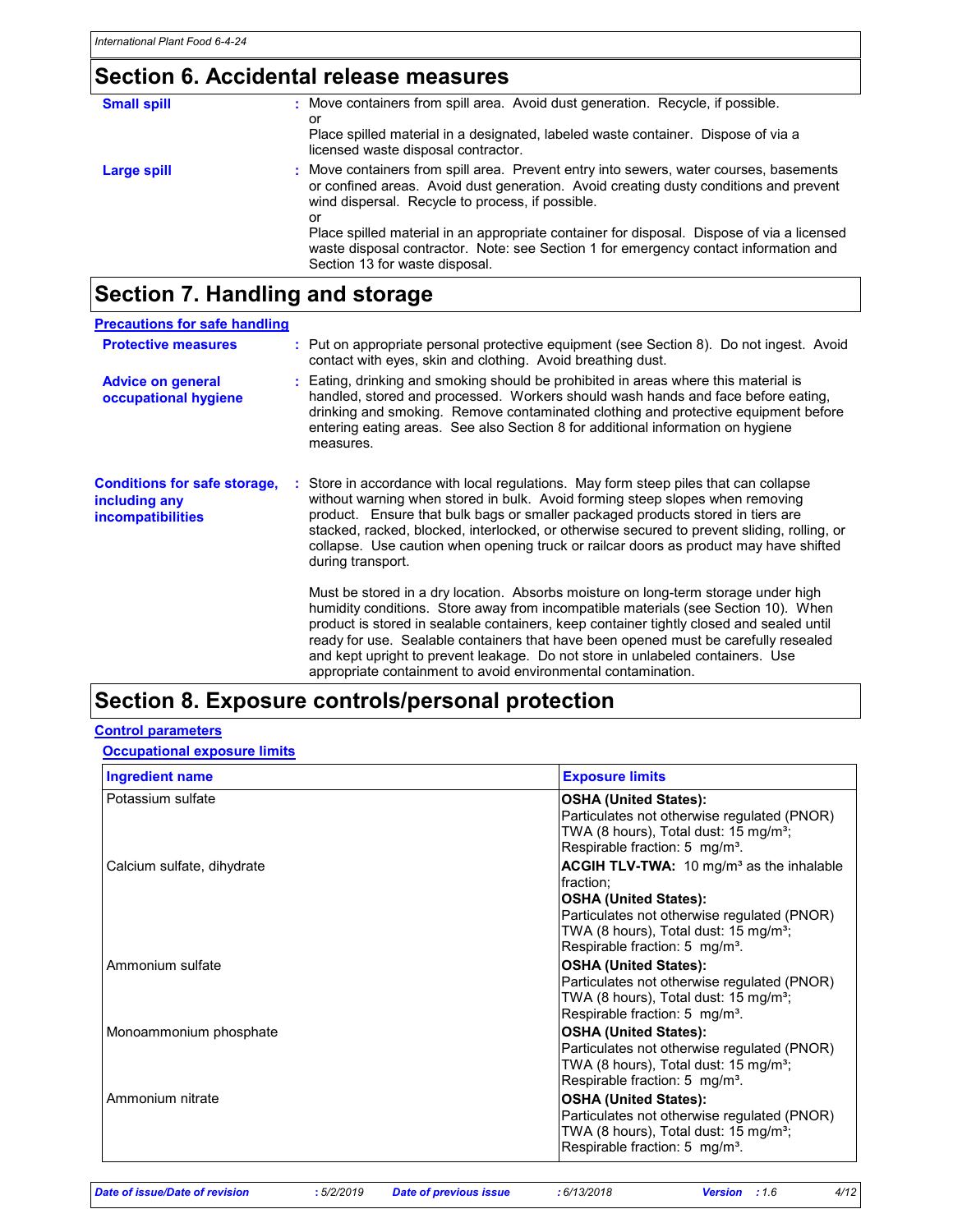# Section 6. Accidental release measures

| <b>Small spill</b> | : Move containers from spill area. Avoid dust generation. Recycle, if possible.<br>or<br>Place spilled material in a designated, labeled waste container. Dispose of via a<br>licensed waste disposal contractor.                                                                                                                                                                                                                                                 |
|--------------------|-------------------------------------------------------------------------------------------------------------------------------------------------------------------------------------------------------------------------------------------------------------------------------------------------------------------------------------------------------------------------------------------------------------------------------------------------------------------|
| Large spill        | : Move containers from spill area. Prevent entry into sewers, water courses, basements<br>or confined areas. Avoid dust generation. Avoid creating dusty conditions and prevent<br>wind dispersal. Recycle to process, if possible.<br>or<br>Place spilled material in an appropriate container for disposal. Dispose of via a licensed<br>waste disposal contractor. Note: see Section 1 for emergency contact information and<br>Section 13 for waste disposal. |

# Section 7. Handling and storage

| <b>Precautions for safe handling</b>                                             |                                                                                                                                                                                                                                                                                                                                                                                                                                                                                                                |
|----------------------------------------------------------------------------------|----------------------------------------------------------------------------------------------------------------------------------------------------------------------------------------------------------------------------------------------------------------------------------------------------------------------------------------------------------------------------------------------------------------------------------------------------------------------------------------------------------------|
| <b>Protective measures</b>                                                       | : Put on appropriate personal protective equipment (see Section 8). Do not ingest. Avoid<br>contact with eyes, skin and clothing. Avoid breathing dust.                                                                                                                                                                                                                                                                                                                                                        |
| <b>Advice on general</b><br>occupational hygiene                                 | : Eating, drinking and smoking should be prohibited in areas where this material is<br>handled, stored and processed. Workers should wash hands and face before eating,<br>drinking and smoking. Remove contaminated clothing and protective equipment before<br>entering eating areas. See also Section 8 for additional information on hygiene<br>measures.                                                                                                                                                  |
| <b>Conditions for safe storage,</b><br>including any<br><i>incompatibilities</i> | : Store in accordance with local regulations. May form steep piles that can collapse<br>without warning when stored in bulk. Avoid forming steep slopes when removing<br>product. Ensure that bulk bags or smaller packaged products stored in tiers are<br>stacked, racked, blocked, interlocked, or otherwise secured to prevent sliding, rolling, or<br>collapse. Use caution when opening truck or railcar doors as product may have shifted<br>during transport.                                          |
|                                                                                  | Must be stored in a dry location. Absorbs moisture on long-term storage under high<br>humidity conditions. Store away from incompatible materials (see Section 10). When<br>product is stored in sealable containers, keep container tightly closed and sealed until<br>ready for use. Sealable containers that have been opened must be carefully resealed<br>and kept upright to prevent leakage. Do not store in unlabeled containers. Use<br>appropriate containment to avoid environmental contamination. |

## Section 8. Exposure controls/personal protection

### Control parameters

**Occupational exposure limits** 

| <b>Ingredient name</b>     | <b>Exposure limits</b>                                                                                                                                                                                                                                     |
|----------------------------|------------------------------------------------------------------------------------------------------------------------------------------------------------------------------------------------------------------------------------------------------------|
| Potassium sulfate          | <b>OSHA (United States):</b><br>Particulates not otherwise regulated (PNOR)<br>TWA (8 hours), Total dust: 15 mg/m <sup>3</sup> ;<br>Respirable fraction: 5 mg/m <sup>3</sup> .                                                                             |
| Calcium sulfate, dihydrate | <b>ACGIH TLV-TWA:</b> 10 mg/m <sup>3</sup> as the inhalable<br>fraction:<br><b>OSHA (United States):</b><br>Particulates not otherwise regulated (PNOR)<br>TWA (8 hours), Total dust: 15 mg/m <sup>3</sup> ;<br>Respirable fraction: 5 mg/m <sup>3</sup> . |
| Ammonium sulfate           | <b>OSHA (United States):</b><br>Particulates not otherwise regulated (PNOR)<br>TWA (8 hours), Total dust: 15 mg/m <sup>3</sup> ;<br>Respirable fraction: 5 mg/m <sup>3</sup> .                                                                             |
| Monoammonium phosphate     | <b>OSHA (United States):</b><br>Particulates not otherwise regulated (PNOR)<br>TWA (8 hours), Total dust: $15 \text{ mg/m}^3$ ;<br>Respirable fraction: 5 mg/m <sup>3</sup> .                                                                              |
| Ammonium nitrate           | <b>OSHA (United States):</b><br>Particulates not otherwise regulated (PNOR)<br>TWA (8 hours), Total dust: 15 mg/m <sup>3</sup> ;<br>Respirable fraction: 5 mg/m <sup>3</sup> .                                                                             |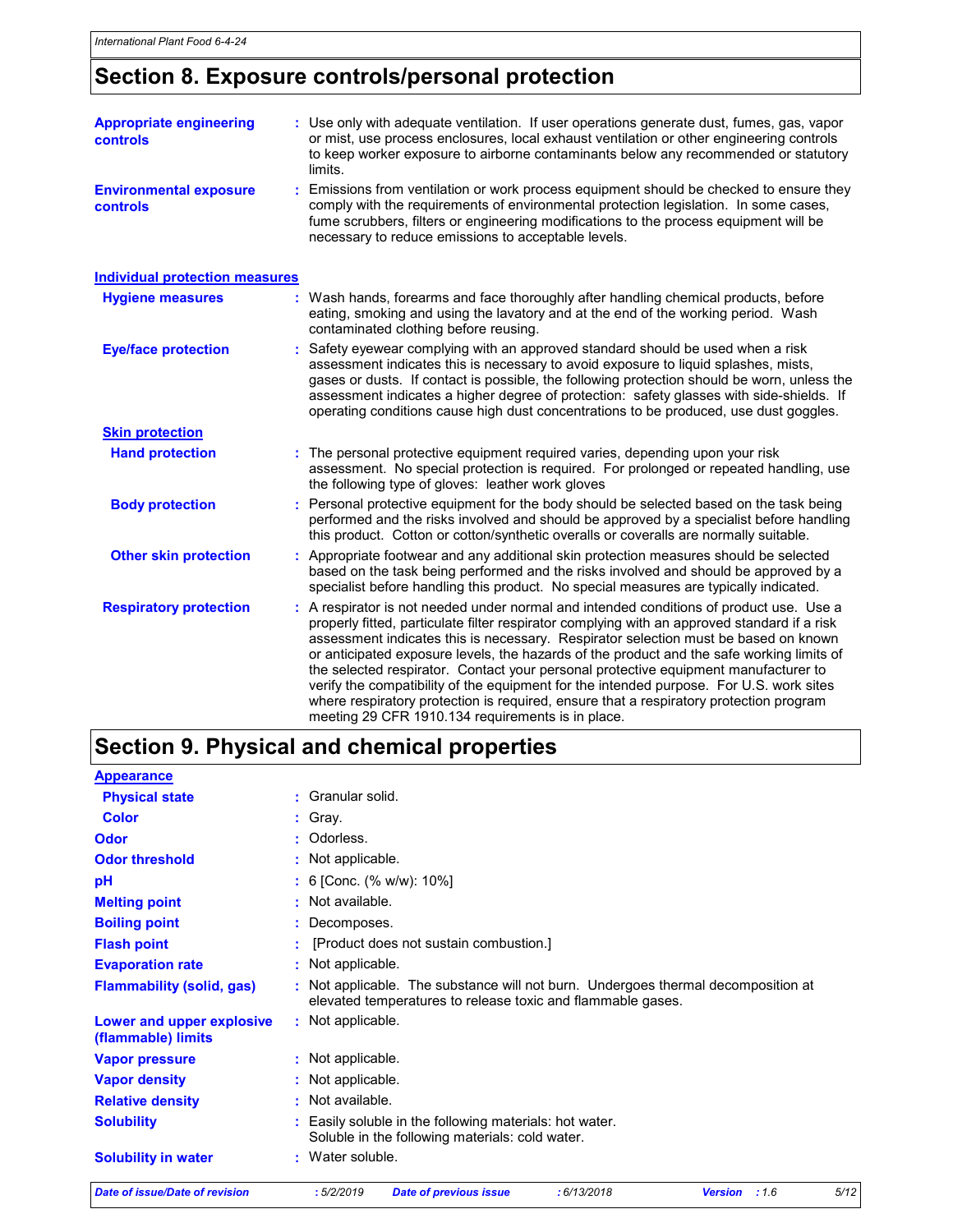# Section 8. Exposure controls/personal protection

| <b>Appropriate engineering</b><br>controls       | : Use only with adequate ventilation. If user operations generate dust, fumes, gas, vapor<br>or mist, use process enclosures, local exhaust ventilation or other engineering controls<br>to keep worker exposure to airborne contaminants below any recommended or statutory<br>limits.                                         |
|--------------------------------------------------|---------------------------------------------------------------------------------------------------------------------------------------------------------------------------------------------------------------------------------------------------------------------------------------------------------------------------------|
| <b>Environmental exposure</b><br><b>controls</b> | : Emissions from ventilation or work process equipment should be checked to ensure they<br>comply with the requirements of environmental protection legislation. In some cases,<br>fume scrubbers, filters or engineering modifications to the process equipment will be<br>necessary to reduce emissions to acceptable levels. |

| <b>Individual protection measures</b> |                                                                                                                                                                                                                                                                                                                                                                                                                                                                                                                                                                                                                                                                                                              |
|---------------------------------------|--------------------------------------------------------------------------------------------------------------------------------------------------------------------------------------------------------------------------------------------------------------------------------------------------------------------------------------------------------------------------------------------------------------------------------------------------------------------------------------------------------------------------------------------------------------------------------------------------------------------------------------------------------------------------------------------------------------|
| <b>Hygiene measures</b>               | : Wash hands, forearms and face thoroughly after handling chemical products, before<br>eating, smoking and using the lavatory and at the end of the working period. Wash<br>contaminated clothing before reusing.                                                                                                                                                                                                                                                                                                                                                                                                                                                                                            |
| <b>Eye/face protection</b>            | : Safety eyewear complying with an approved standard should be used when a risk<br>assessment indicates this is necessary to avoid exposure to liquid splashes, mists,<br>gases or dusts. If contact is possible, the following protection should be worn, unless the<br>assessment indicates a higher degree of protection: safety glasses with side-shields. If<br>operating conditions cause high dust concentrations to be produced, use dust goggles.                                                                                                                                                                                                                                                   |
| <b>Skin protection</b>                |                                                                                                                                                                                                                                                                                                                                                                                                                                                                                                                                                                                                                                                                                                              |
| <b>Hand protection</b>                | : The personal protective equipment required varies, depending upon your risk<br>assessment. No special protection is required. For prolonged or repeated handling, use<br>the following type of gloves: leather work gloves                                                                                                                                                                                                                                                                                                                                                                                                                                                                                 |
| <b>Body protection</b>                | : Personal protective equipment for the body should be selected based on the task being<br>performed and the risks involved and should be approved by a specialist before handling<br>this product. Cotton or cotton/synthetic overalls or coveralls are normally suitable.                                                                                                                                                                                                                                                                                                                                                                                                                                  |
| <b>Other skin protection</b>          | : Appropriate footwear and any additional skin protection measures should be selected<br>based on the task being performed and the risks involved and should be approved by a<br>specialist before handling this product. No special measures are typically indicated.                                                                                                                                                                                                                                                                                                                                                                                                                                       |
| <b>Respiratory protection</b>         | : A respirator is not needed under normal and intended conditions of product use. Use a<br>properly fitted, particulate filter respirator complying with an approved standard if a risk<br>assessment indicates this is necessary. Respirator selection must be based on known<br>or anticipated exposure levels, the hazards of the product and the safe working limits of<br>the selected respirator. Contact your personal protective equipment manufacturer to<br>verify the compatibility of the equipment for the intended purpose. For U.S. work sites<br>where respiratory protection is required, ensure that a respiratory protection program<br>meeting 29 CFR 1910.134 requirements is in place. |

# Section 9. Physical and chemical properties

| Date of issue/Date of revision                  | 5/12<br>:5/2/2019<br>: 6/13/2018<br>: 1.6<br><b>Date of previous issue</b><br><b>Version</b>                                                     |  |  |  |
|-------------------------------------------------|--------------------------------------------------------------------------------------------------------------------------------------------------|--|--|--|
| <b>Solubility in water</b>                      | : Water soluble.                                                                                                                                 |  |  |  |
| <b>Solubility</b>                               | Easily soluble in the following materials: hot water.<br>Soluble in the following materials: cold water.                                         |  |  |  |
| <b>Relative density</b>                         | : Not available.                                                                                                                                 |  |  |  |
| <b>Vapor density</b>                            | : Not applicable.                                                                                                                                |  |  |  |
| <b>Vapor pressure</b>                           | : Not applicable.                                                                                                                                |  |  |  |
| Lower and upper explosive<br>(flammable) limits | : Not applicable.                                                                                                                                |  |  |  |
| <b>Flammability (solid, gas)</b>                | : Not applicable. The substance will not burn. Undergoes thermal decomposition at<br>elevated temperatures to release toxic and flammable gases. |  |  |  |
| <b>Evaporation rate</b>                         | : Not applicable.                                                                                                                                |  |  |  |
| <b>Flash point</b>                              | [Product does not sustain combustion.]                                                                                                           |  |  |  |
| <b>Boiling point</b>                            | Decomposes.                                                                                                                                      |  |  |  |
| <b>Melting point</b>                            | : Not available.                                                                                                                                 |  |  |  |
| рH                                              | : 6 [Conc. (% w/w): $10\%$ ]                                                                                                                     |  |  |  |
| <b>Odor threshold</b>                           | : Not applicable.                                                                                                                                |  |  |  |
| Odor                                            | Odorless.                                                                                                                                        |  |  |  |
| <b>Color</b>                                    | : Gray.                                                                                                                                          |  |  |  |
| <b>Physical state</b>                           | Granular solid.                                                                                                                                  |  |  |  |
| <b>Appearance</b>                               |                                                                                                                                                  |  |  |  |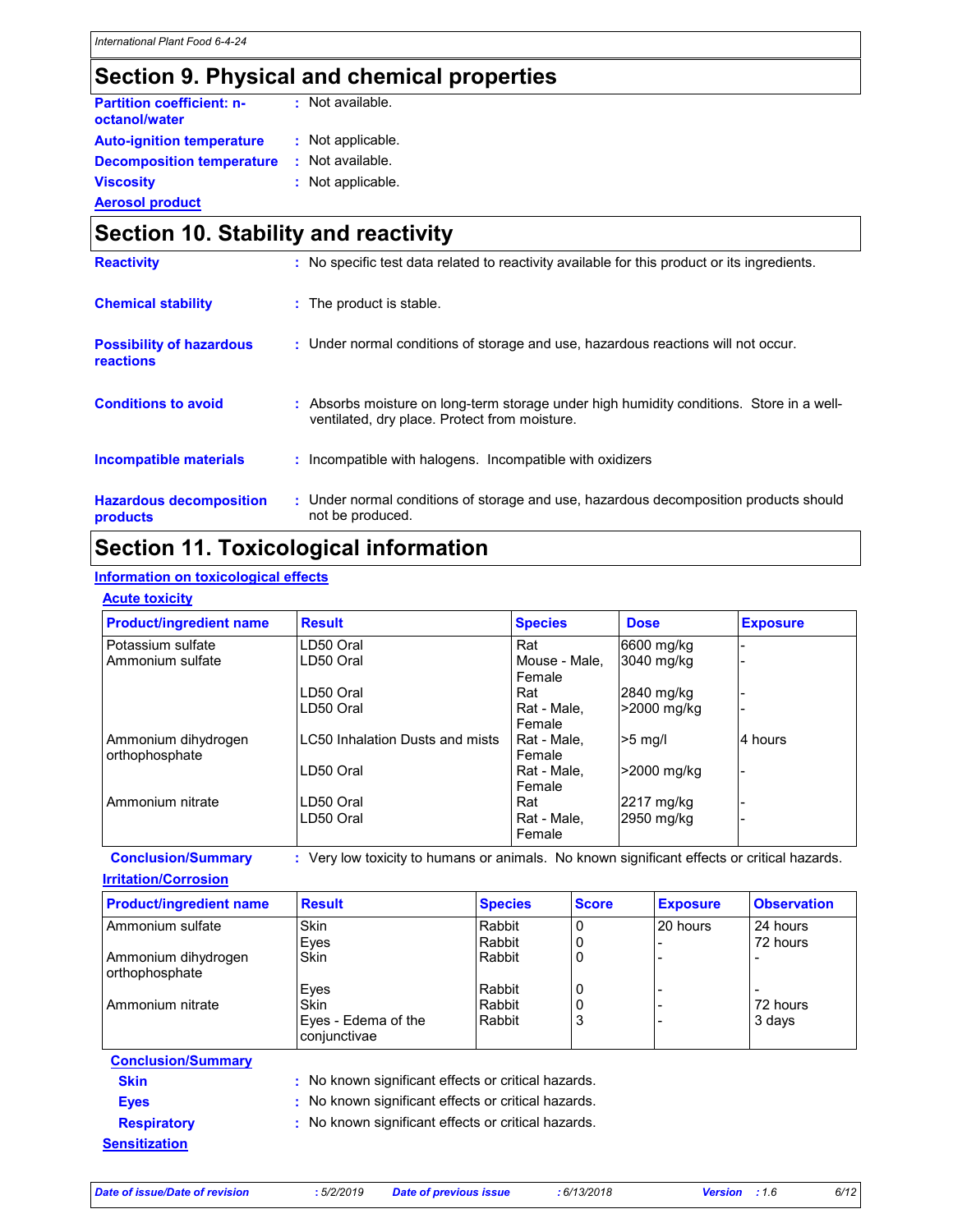## Section 9. Physical and chemical properties

| <b>Partition coefficient: n-</b><br>octanol/water | : Not available.  |
|---------------------------------------------------|-------------------|
| <b>Auto-ignition temperature</b>                  | : Not applicable. |
| <b>Decomposition temperature</b>                  | : Not available.  |
| <b>Viscosity</b>                                  | : Not applicable. |
| <b>Aerosol product</b>                            |                   |

### Section 10. Stability and reactivity Hazardous decomposition products Conditions to avoid : Absorbs moisture on long-term storage under high humidity conditions. Store in a wellventilated, dry place. Protect from moisture. Under normal conditions of storage and use, hazardous decomposition products should : not be produced. **Chemical stability Chemical stable.** The product is stable. : Incompatible with halogens. Incompatible with oxidizers Incompatible materials : Possibility of hazardous reactions : Under normal conditions of storage and use, hazardous reactions will not occur. Reactivity : No specific test data related to reactivity available for this product or its ingredients.

## Section 11. Toxicological information

### Information on toxicological effects

| <b>Product/ingredient name</b>        | <b>Result</b>                          | <b>Species</b>          | <b>Dose</b> | <b>Exposure</b> |
|---------------------------------------|----------------------------------------|-------------------------|-------------|-----------------|
| Potassium sulfate                     | LD50 Oral                              | Rat                     | 6600 mg/kg  |                 |
| Ammonium sulfate                      | LD50 Oral                              | Mouse - Male.<br>Female | 3040 mg/kg  |                 |
|                                       | LD50 Oral                              | Rat                     | 2840 mg/kg  |                 |
|                                       | LD50 Oral                              | Rat - Male,<br>Female   | >2000 mg/kg |                 |
| Ammonium dihydrogen<br>orthophosphate | <b>LC50 Inhalation Dusts and mists</b> | Rat - Male.<br>Female   | $>5$ mg/l   | 4 hours         |
|                                       | LD50 Oral                              | Rat - Male.<br>Female   | >2000 mg/kg |                 |
| Ammonium nitrate                      | LD50 Oral                              | Rat                     | 2217 mg/kg  |                 |
|                                       | LD50 Oral                              | Rat - Male.<br>Female   | 2950 mg/kg  |                 |

Irritation/Corrosion

| <b>Product/ingredient name</b>        | <b>Result</b>                       | <b>Species</b> | <b>Score</b> | <b>Exposure</b> | <b>Observation</b> |
|---------------------------------------|-------------------------------------|----------------|--------------|-----------------|--------------------|
| Ammonium sulfate                      | Skin                                | Rabbit         |              | 20 hours        | 24 hours           |
|                                       | Eyes                                | Rabbit         |              |                 | 72 hours           |
| Ammonium dihydrogen<br>orthophosphate | Skin                                | Rabbit         | 0            |                 |                    |
|                                       | Eyes                                | Rabbit         | 0            |                 |                    |
| Ammonium nitrate                      | Skin                                | Rabbit         | 0            |                 | 72 hours           |
|                                       | Eyes - Edema of the<br>conjunctivae | Rabbit         | 3            |                 | 3 days             |

### Conclusion/Summary Skin : No known significant effects or critical hazards. Eyes : No known significant effects or critical hazards.

**Sensitization** 

Respiratory : No known significant effects or critical hazards.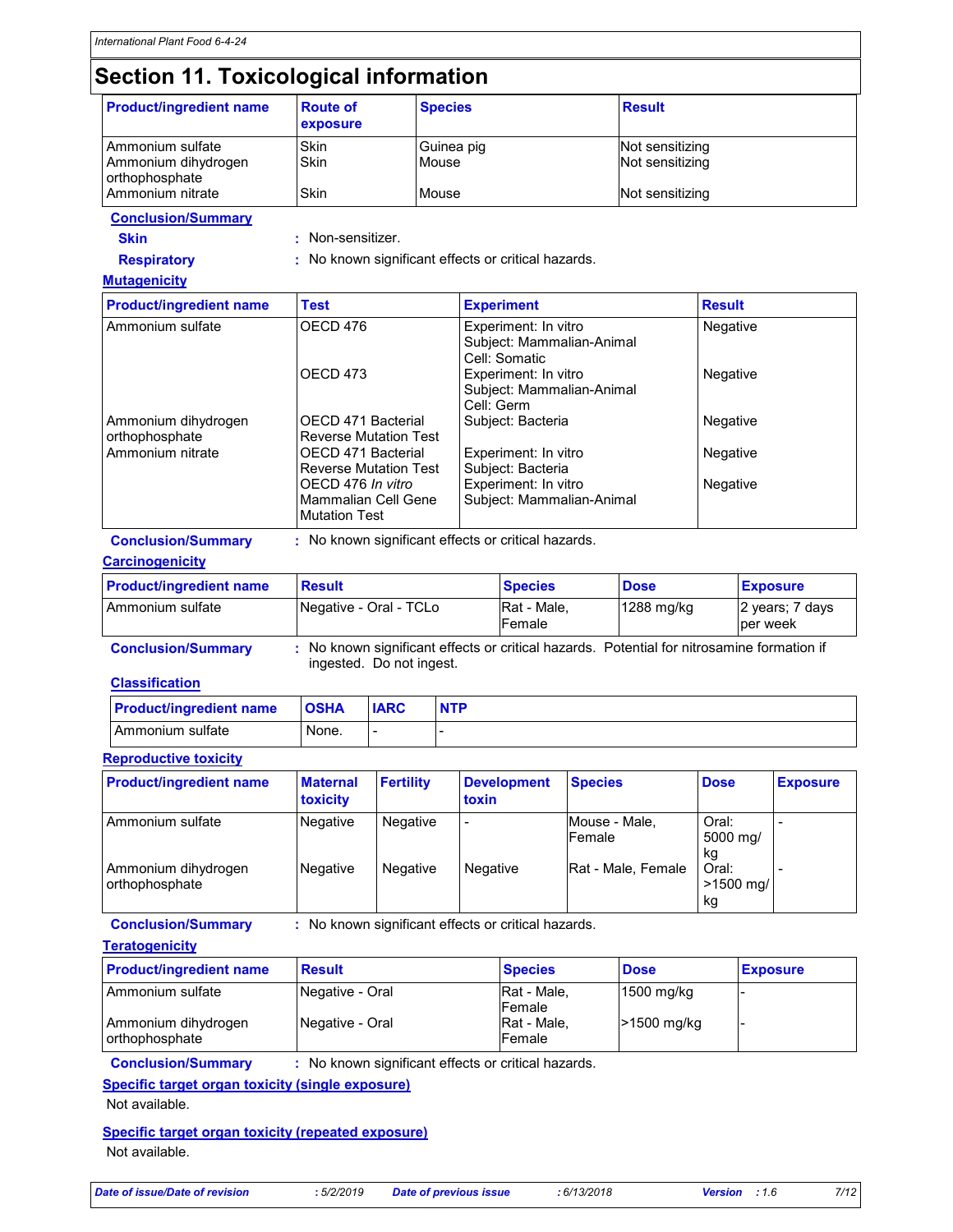# Section 11. Toxicological information

| <b>Product/ingredient name</b>                                                   | <b>Route of</b><br>exposure                                                                      | <b>Species</b> |                                                                    | <b>Result</b>   |          |                             |  |
|----------------------------------------------------------------------------------|--------------------------------------------------------------------------------------------------|----------------|--------------------------------------------------------------------|-----------------|----------|-----------------------------|--|
| Ammonium sulfate                                                                 | <b>Skin</b>                                                                                      | Guinea pig     |                                                                    | Not sensitizing |          |                             |  |
| Ammonium dihydrogen<br>orthophosphate                                            | Skin                                                                                             | Mouse          |                                                                    | Not sensitizing |          |                             |  |
| Ammonium nitrate                                                                 | Skin                                                                                             | Mouse          |                                                                    | Not sensitizing |          |                             |  |
| <b>Conclusion/Summary</b>                                                        |                                                                                                  |                |                                                                    |                 |          |                             |  |
| <b>Skin</b>                                                                      | Non-sensitizer.                                                                                  |                |                                                                    |                 |          |                             |  |
| <b>Respiratory</b>                                                               |                                                                                                  |                | No known significant effects or critical hazards.                  |                 |          |                             |  |
| <b>Mutagenicity</b>                                                              |                                                                                                  |                |                                                                    |                 |          |                             |  |
| <b>Product/ingredient name</b>                                                   | <b>Test</b>                                                                                      |                | <b>Experiment</b>                                                  |                 |          | <b>Result</b>               |  |
| Ammonium sulfate                                                                 | OECD 476                                                                                         |                | Experiment: In vitro<br>Subject: Mammalian-Animal<br>Cell: Somatic |                 | Negative |                             |  |
|                                                                                  | OECD <sub>473</sub>                                                                              |                | Experiment: In vitro<br>Subject: Mammalian-Animal<br>Cell: Germ    |                 | Negative |                             |  |
| Ammonium dihydrogen<br>orthophosphate                                            | OECD 471 Bacterial<br><b>Reverse Mutation Test</b>                                               |                | Subject: Bacteria                                                  |                 | Negative |                             |  |
| Ammonium nitrate                                                                 | OECD 471 Bacterial                                                                               |                | Experiment: In vitro<br>Subject: Bacteria                          |                 | Negative |                             |  |
|                                                                                  | <b>Reverse Mutation Test</b><br>OECD 476 In vitro<br>Mammalian Cell Gene<br><b>Mutation Test</b> |                | Experiment: In vitro<br>Subject: Mammalian-Animal                  |                 | Negative |                             |  |
| : No known significant effects or critical hazards.<br><b>Conclusion/Summary</b> |                                                                                                  |                |                                                                    |                 |          |                             |  |
| <b>Carcinogenicity</b>                                                           |                                                                                                  |                |                                                                    |                 |          |                             |  |
| <b>Product/ingredient name</b>                                                   | <b>Result</b>                                                                                    |                | <b>Species</b>                                                     | <b>Dose</b>     |          | <b>Exposure</b>             |  |
| Ammonium sulfate                                                                 | Negative - Oral - TCLo                                                                           |                | Rat - Male,<br>Female                                              | 1288 mg/kg      |          | 2 years; 7 days<br>per week |  |

| <b>Conclusion/Summary</b> | : No known significant effects or critical hazards. Potential for nitrosamine formation if |  |  |
|---------------------------|--------------------------------------------------------------------------------------------|--|--|
|                           | ingested. Do not ingest.                                                                   |  |  |

#### **Classification**

| <b>Product/ingredient name</b> | <b>OSHA</b> | <b>IARC</b> | <b>NTP</b> |
|--------------------------------|-------------|-------------|------------|
| Ammonium sulfate               | None.       |             |            |

### Reproductive toxicity

| <b>Product/ingredient name</b>        | <b>Maternal</b><br><b>toxicity</b> | <b>Fertility</b> | <b>Development</b><br>toxin | <b>Species</b>          | <b>Dose</b>                | <b>Exposure</b> |
|---------------------------------------|------------------------------------|------------------|-----------------------------|-------------------------|----------------------------|-----------------|
| Ammonium sulfate                      | <b>Negative</b>                    | <b>Negative</b>  | $\overline{\phantom{a}}$    | Mouse - Male,<br>Female | Oral:<br>5000 mg/<br>kq    |                 |
| Ammonium dihydrogen<br>orthophosphate | <b>Negative</b>                    | <b>Negative</b>  | Negative                    | Rat - Male, Female      | Oral:<br>$>1500$ ma/<br>kg |                 |

Conclusion/Summary : No known significant effects or critical hazards.

| <b>Teratogenicity</b>                 |                 |                       |              |                 |
|---------------------------------------|-----------------|-----------------------|--------------|-----------------|
| <b>Product/ingredient name</b>        | <b>Result</b>   | <b>Species</b>        | <b>Dose</b>  | <b>Exposure</b> |
| Ammonium sulfate                      | Negative - Oral | Rat - Male,<br>Female | $1500$ mg/kg |                 |
| Ammonium dihydrogen<br>orthophosphate | Negative - Oral | Rat - Male.<br>Female | >1500 mg/kg  |                 |

Conclusion/Summary : No known significant effects or critical hazards.

Specific target organ toxicity (single exposure) Not available.

Specific target organ toxicity (repeated exposure) Not available.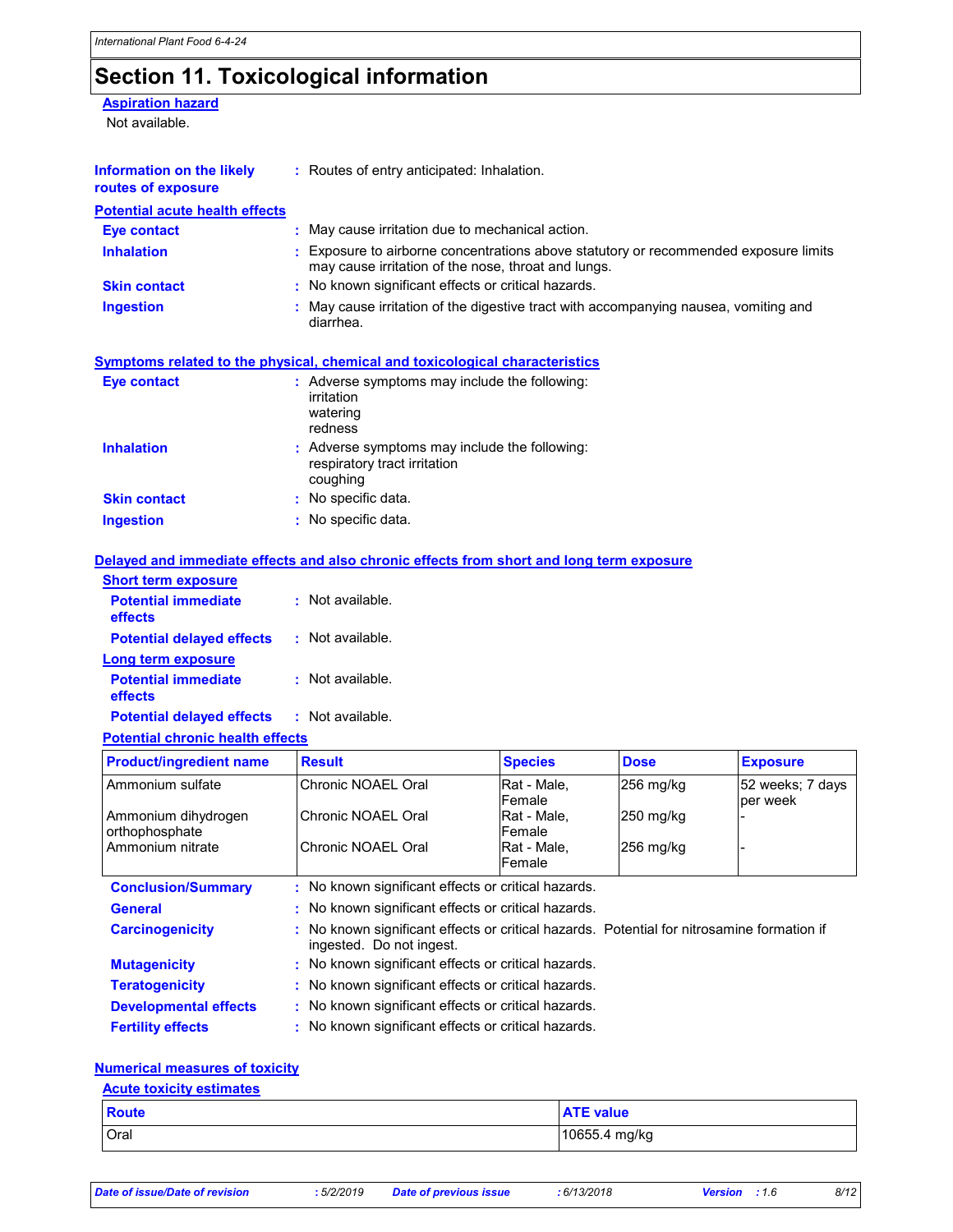# Section 11. Toxicological information

**Aspiration hazard** 

Not available.

| Information on the likely<br>routes of exposure | : Routes of entry anticipated: Inhalation.                                                                                                     |
|-------------------------------------------------|------------------------------------------------------------------------------------------------------------------------------------------------|
| <b>Potential acute health effects</b>           |                                                                                                                                                |
| Eye contact                                     | May cause irritation due to mechanical action.                                                                                                 |
| <b>Inhalation</b>                               | Exposure to airborne concentrations above statutory or recommended exposure limits<br>٠<br>may cause irritation of the nose, throat and lungs. |
| <b>Skin contact</b>                             | : No known significant effects or critical hazards.                                                                                            |
| Ingestion                                       | May cause irritation of the digestive tract with accompanying nausea, vomiting and<br>diarrhea.                                                |
|                                                 | Symptoms related to the physical, chemical and toxicological characteristics                                                                   |
| Eye contact                                     | : Adverse symptoms may include the following:<br>irritation<br>watering<br>redness                                                             |
| <b>Inhalation</b>                               | : Adverse symptoms may include the following:<br>respiratory tract irritation<br>coughing                                                      |
| <b>Skin contact</b>                             | : No specific data.                                                                                                                            |

Ingestion : No specific data.

#### Delayed and immediate effects and also chronic effects from short and long term exposure

| <b>Short term exposure</b>            |                  |
|---------------------------------------|------------------|
| <b>Potential immediate</b><br>effects | Not available.   |
| <b>Potential delayed effects</b>      | : Not available. |
| Long term exposure                    |                  |
| <b>Potential immediate</b><br>effects | : Not available. |
| <b>Potential delayed effects</b>      | Not available.   |

#### Potential chronic health effects

| <b>Product/ingredient name</b>        | <b>Result</b>                                                                                                          | <b>Species</b>        | <b>Dose</b>         | <b>Exposure</b>  |  |  |
|---------------------------------------|------------------------------------------------------------------------------------------------------------------------|-----------------------|---------------------|------------------|--|--|
| Ammonium sulfate                      | Chronic NOAEL Oral                                                                                                     | Rat - Male,           | 256 mg/kg           | 52 weeks; 7 days |  |  |
|                                       |                                                                                                                        | Female                |                     | per week         |  |  |
| Ammonium dihydrogen<br>orthophosphate | Chronic NOAEL Oral                                                                                                     | Rat - Male,<br>Female | $250 \text{ mg/kg}$ |                  |  |  |
| Ammonium nitrate                      | Chronic NOAEL Oral                                                                                                     | Rat - Male.           | $256$ mg/kg         |                  |  |  |
|                                       |                                                                                                                        | Female                |                     |                  |  |  |
| <b>Conclusion/Summary</b>             | : No known significant effects or critical hazards.                                                                    |                       |                     |                  |  |  |
| <b>General</b>                        | : No known significant effects or critical hazards.                                                                    |                       |                     |                  |  |  |
| <b>Carcinogenicity</b>                | : No known significant effects or critical hazards. Potential for nitrosamine formation if<br>ingested. Do not ingest. |                       |                     |                  |  |  |
| <b>Mutagenicity</b>                   | : No known significant effects or critical hazards.                                                                    |                       |                     |                  |  |  |
| <b>Teratogenicity</b>                 | : No known significant effects or critical hazards.                                                                    |                       |                     |                  |  |  |
| <b>Developmental effects</b>          | : No known significant effects or critical hazards.                                                                    |                       |                     |                  |  |  |
| <b>Fertility effects</b>              | : No known significant effects or critical hazards.                                                                    |                       |                     |                  |  |  |

### Numerical measures of toxicity

| <b>Acute toxicity estimates</b> |                  |  |  |  |
|---------------------------------|------------------|--|--|--|
| <b>Route</b>                    | <b>ATE</b> value |  |  |  |
| Oral                            | 10655.4 mg/kg    |  |  |  |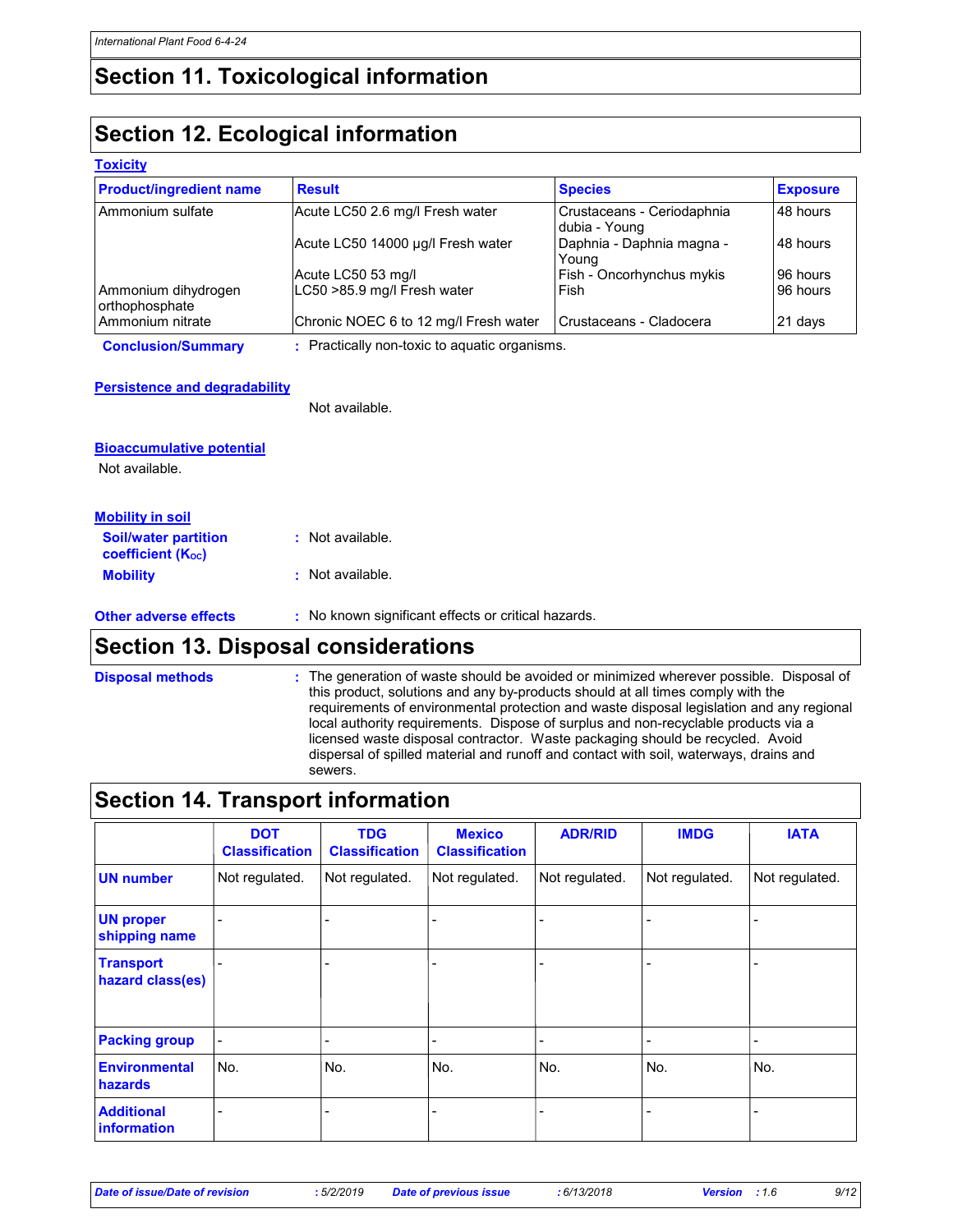## Section 11. Toxicological information

## Section 12. Ecological information

#### **Toxicity**

| <b>Product/ingredient name</b>        | <b>Result</b>                                | <b>Species</b>                              | <b>Exposure</b> |
|---------------------------------------|----------------------------------------------|---------------------------------------------|-----------------|
| Ammonium sulfate                      | Acute LC50 2.6 mg/l Fresh water              | Crustaceans - Ceriodaphnia<br>dubia - Young | 48 hours        |
|                                       | Acute LC50 14000 µg/l Fresh water            | Daphnia - Daphnia magna -<br>Young          | 48 hours        |
|                                       | Acute LC50 53 mg/l                           | Fish - Oncorhynchus mykis                   | 96 hours        |
| Ammonium dihydrogen<br>orthophosphate | LC50 >85.9 mg/l Fresh water                  | Fish                                        | 96 hours        |
| Ammonium nitrate                      | Chronic NOEC 6 to 12 mg/l Fresh water        | Crustaceans - Cladocera                     | 21 days         |
| <b>Conclusion/Summary</b>             | . Practically non-toxic to aquatic organisms |                                             |                 |

Conclusion/Summary : Practically non-toxic to aquatic organisms.

#### Persistence and degradability

Not available.

| <b>Bioaccumulative potential</b>                                     |                                                     |
|----------------------------------------------------------------------|-----------------------------------------------------|
| Not available.                                                       |                                                     |
| <b>Mobility in soil</b>                                              |                                                     |
| <b>Soil/water partition</b><br><b>coefficient</b> (K <sub>oc</sub> ) | $:$ Not available.                                  |
| <b>Mobility</b>                                                      | : Not available.                                    |
| <b>Other adverse effects</b>                                         | : No known significant effects or critical hazards. |

### Section 13. Disposal considerations

Disposal methods

The generation of waste should be avoided or minimized wherever possible. Disposal of this product, solutions and any by-products should at all times comply with the requirements of environmental protection and waste disposal legislation and any regional local authority requirements. Dispose of surplus and non-recyclable products via a licensed waste disposal contractor. Waste packaging should be recycled. Avoid dispersal of spilled material and runoff and contact with soil, waterways, drains and sewers.

### Section 14. Transport information

|                                         | <b>DOT</b><br><b>Classification</b> | <b>TDG</b><br><b>Classification</b> | <b>Mexico</b><br><b>Classification</b> | <b>ADR/RID</b> | <b>IMDG</b>    | <b>IATA</b>    |
|-----------------------------------------|-------------------------------------|-------------------------------------|----------------------------------------|----------------|----------------|----------------|
| <b>UN number</b>                        | Not regulated.                      | Not regulated.                      | Not regulated.                         | Not regulated. | Not regulated. | Not regulated. |
| <b>UN proper</b><br>shipping name       | $\blacksquare$                      |                                     | $\blacksquare$                         |                |                |                |
| <b>Transport</b><br>hazard class(es)    |                                     |                                     |                                        |                |                |                |
| <b>Packing group</b>                    | $\blacksquare$                      |                                     | $\overline{\phantom{a}}$               |                | -              |                |
| <b>Environmental</b><br><b>hazards</b>  | No.                                 | No.                                 | No.                                    | No.            | No.            | No.            |
| <b>Additional</b><br><b>information</b> | -                                   |                                     |                                        |                |                |                |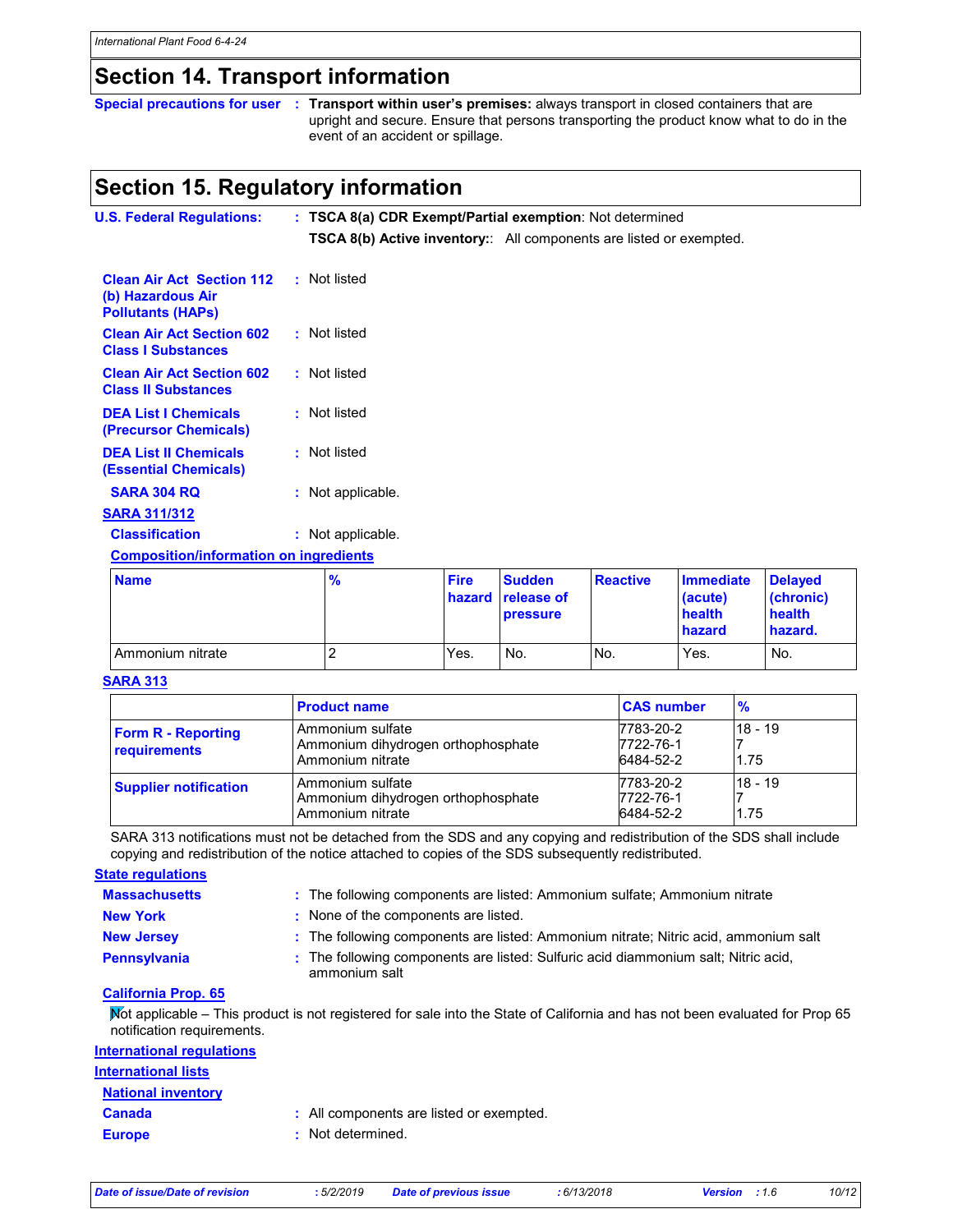## Section 14. Transport information

Special precautions for user : Transport within user's premises: always transport in closed containers that are upright and secure. Ensure that persons transporting the product know what to do in the event of an accident or spillage.

### Section 15. Regulatory information

| <b>U.S. Federal Regulations:</b>                                                  |                   | : TSCA 8(a) CDR Exempt/Partial exemption: Not determined                   |                        |                   |                                   |        |
|-----------------------------------------------------------------------------------|-------------------|----------------------------------------------------------------------------|------------------------|-------------------|-----------------------------------|--------|
|                                                                                   |                   | <b>TSCA 8(b) Active inventory::</b> All components are listed or exempted. |                        |                   |                                   |        |
| <b>Clean Air Act Section 112</b><br>(b) Hazardous Air<br><b>Pollutants (HAPs)</b> | : Not listed      |                                                                            |                        |                   |                                   |        |
| <b>Clean Air Act Section 602</b><br><b>Class I Substances</b>                     | : Not listed      |                                                                            |                        |                   |                                   |        |
| <b>Clean Air Act Section 602</b><br><b>Class II Substances</b>                    | : Not listed      |                                                                            |                        |                   |                                   |        |
| <b>DEA List I Chemicals</b><br>(Precursor Chemicals)                              | : Not listed      |                                                                            |                        |                   |                                   |        |
| <b>DEA List II Chemicals</b><br><b>(Essential Chemicals)</b>                      | : Not listed      |                                                                            |                        |                   |                                   |        |
| <b>SARA 304 RQ</b>                                                                | : Not applicable. |                                                                            |                        |                   |                                   |        |
| <b>SARA 311/312</b>                                                               |                   |                                                                            |                        |                   |                                   |        |
| <b>Classification</b>                                                             | : Not applicable. |                                                                            |                        |                   |                                   |        |
| <b>Composition/information on ingredients</b>                                     |                   |                                                                            |                        |                   |                                   |        |
| <b>Allandra</b>                                                                   | $\mathbf{a}$      | <b>PERMIT</b>                                                              | <b>Constantine Com</b> | <b>Production</b> | <b>The company of the Algebra</b> | $\sim$ |

| <b>Name</b>      | $\frac{9}{6}$ | <b>Fire</b> | <b>Sudden</b><br>hazard release of<br><b>pressure</b> | <b>Reactive</b> | <b>Immediate</b><br>(acute)<br>health<br>hazard | <b>Delaved</b><br>(chronic)<br>health<br>hazard. |
|------------------|---------------|-------------|-------------------------------------------------------|-----------------|-------------------------------------------------|--------------------------------------------------|
| Ammonium nitrate | ∼             | Yes.        | No.                                                   | No.             | Yes.                                            | No.                                              |

#### SARA 313

|                                                  | <b>Product name</b>                                                        | <b>CAS number</b>                   | $\frac{9}{6}$   |
|--------------------------------------------------|----------------------------------------------------------------------------|-------------------------------------|-----------------|
| <b>Form R - Reporting</b><br><b>requirements</b> | Ammonium sulfate<br>Ammonium dihydrogen orthophosphate<br>Ammonium nitrate | 7783-20-2<br>7722-76-1<br>6484-52-2 | 18 - 19<br>1.75 |
| <b>Supplier notification</b>                     | Ammonium sulfate<br>Ammonium dihydrogen orthophosphate<br>Ammonium nitrate | 7783-20-2<br>7722-76-1<br>6484-52-2 | 18 - 19<br>1.75 |

SARA 313 notifications must not be detached from the SDS and any copying and redistribution of the SDS shall include copying and redistribution of the notice attached to copies of the SDS subsequently redistributed.

### **State regulations**

| <b>Massachusetts</b> | : The following components are listed: Ammonium sulfate: Ammonium nitrate                           |
|----------------------|-----------------------------------------------------------------------------------------------------|
| <b>New York</b>      | : None of the components are listed.                                                                |
| <b>New Jersey</b>    | : The following components are listed: Ammonium nitrate: Nitric acid, ammonium salt                 |
| Pennsylvania         | : The following components are listed: Sulfuric acid diammonium salt; Nitric acid,<br>ammonium salt |

#### California Prop. 65

Not applicable – This product is not registered for sale into the State of California and has not been evaluated for Prop 65 notification requirements.

| : All components are listed or exempted. |
|------------------------------------------|
| : Not determined.                        |
|                                          |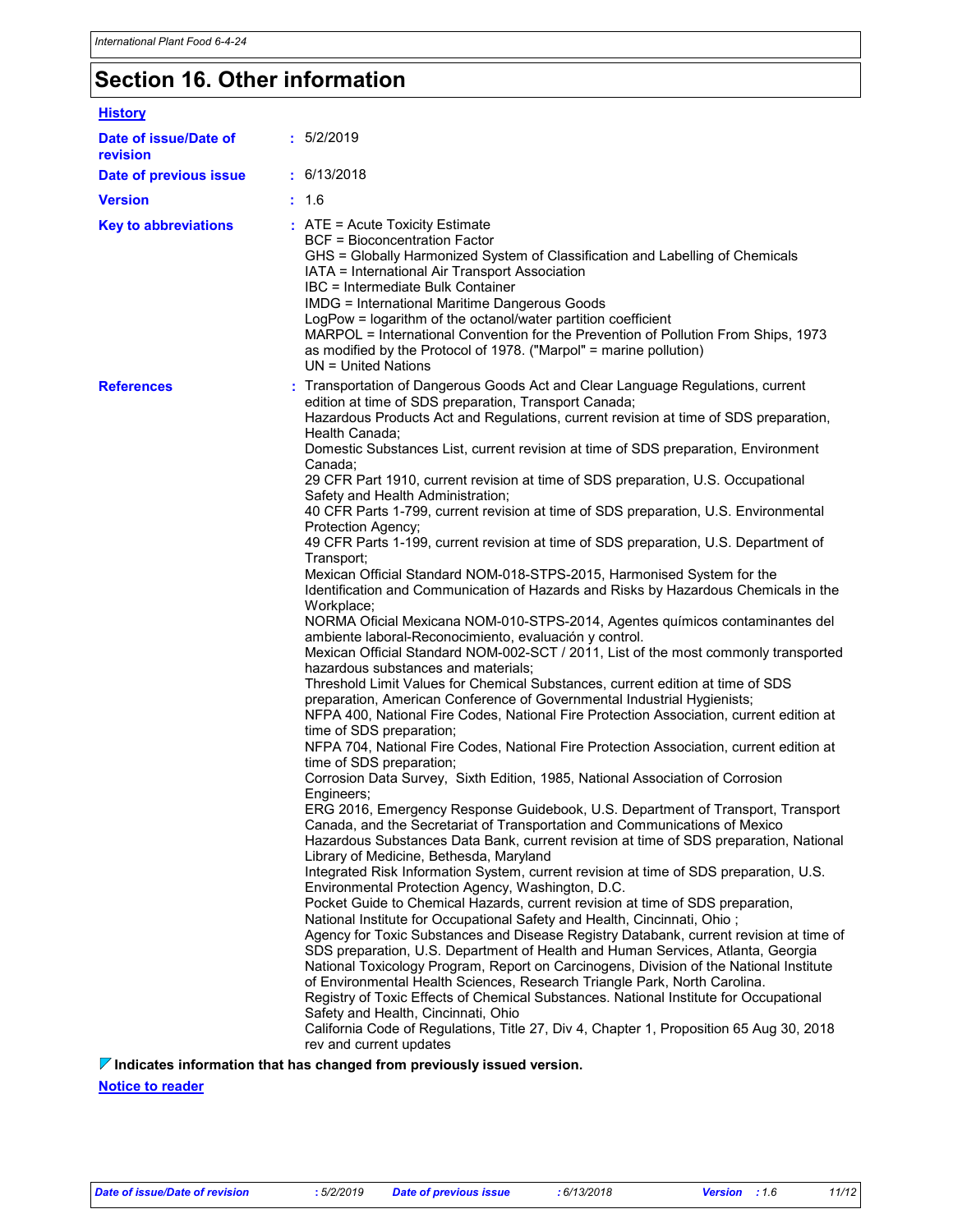## Section 16. Other information

| <b>History</b>                    |                                                                                                                                                                                                                                                                                                                                                                                                                                                                                                                                                                                                                                                                                                                                                                                                                                                                                                                                                                                                                                                                                                                                                                                                                                                                                                                                                                                                                                                                                                                                                                                                                                                                                                                                                                                                                                                                                                                                                                                                                                                                                                                                                                                                                                                                                                                                                                                                                                                                                                                                                                                                                                                                                                                                                                                                                                                                                            |
|-----------------------------------|--------------------------------------------------------------------------------------------------------------------------------------------------------------------------------------------------------------------------------------------------------------------------------------------------------------------------------------------------------------------------------------------------------------------------------------------------------------------------------------------------------------------------------------------------------------------------------------------------------------------------------------------------------------------------------------------------------------------------------------------------------------------------------------------------------------------------------------------------------------------------------------------------------------------------------------------------------------------------------------------------------------------------------------------------------------------------------------------------------------------------------------------------------------------------------------------------------------------------------------------------------------------------------------------------------------------------------------------------------------------------------------------------------------------------------------------------------------------------------------------------------------------------------------------------------------------------------------------------------------------------------------------------------------------------------------------------------------------------------------------------------------------------------------------------------------------------------------------------------------------------------------------------------------------------------------------------------------------------------------------------------------------------------------------------------------------------------------------------------------------------------------------------------------------------------------------------------------------------------------------------------------------------------------------------------------------------------------------------------------------------------------------------------------------------------------------------------------------------------------------------------------------------------------------------------------------------------------------------------------------------------------------------------------------------------------------------------------------------------------------------------------------------------------------------------------------------------------------------------------------------------------------|
| Date of issue/Date of<br>revision | : 5/2/2019                                                                                                                                                                                                                                                                                                                                                                                                                                                                                                                                                                                                                                                                                                                                                                                                                                                                                                                                                                                                                                                                                                                                                                                                                                                                                                                                                                                                                                                                                                                                                                                                                                                                                                                                                                                                                                                                                                                                                                                                                                                                                                                                                                                                                                                                                                                                                                                                                                                                                                                                                                                                                                                                                                                                                                                                                                                                                 |
| Date of previous issue            | : 6/13/2018                                                                                                                                                                                                                                                                                                                                                                                                                                                                                                                                                                                                                                                                                                                                                                                                                                                                                                                                                                                                                                                                                                                                                                                                                                                                                                                                                                                                                                                                                                                                                                                                                                                                                                                                                                                                                                                                                                                                                                                                                                                                                                                                                                                                                                                                                                                                                                                                                                                                                                                                                                                                                                                                                                                                                                                                                                                                                |
| <b>Version</b>                    | : 1.6                                                                                                                                                                                                                                                                                                                                                                                                                                                                                                                                                                                                                                                                                                                                                                                                                                                                                                                                                                                                                                                                                                                                                                                                                                                                                                                                                                                                                                                                                                                                                                                                                                                                                                                                                                                                                                                                                                                                                                                                                                                                                                                                                                                                                                                                                                                                                                                                                                                                                                                                                                                                                                                                                                                                                                                                                                                                                      |
| <b>Key to abbreviations</b>       | $:$ ATE = Acute Toxicity Estimate<br><b>BCF = Bioconcentration Factor</b><br>GHS = Globally Harmonized System of Classification and Labelling of Chemicals<br>IATA = International Air Transport Association<br>IBC = Intermediate Bulk Container<br><b>IMDG = International Maritime Dangerous Goods</b><br>LogPow = logarithm of the octanol/water partition coefficient<br>MARPOL = International Convention for the Prevention of Pollution From Ships, 1973<br>as modified by the Protocol of 1978. ("Marpol" = marine pollution)<br>$UN = United Nations$                                                                                                                                                                                                                                                                                                                                                                                                                                                                                                                                                                                                                                                                                                                                                                                                                                                                                                                                                                                                                                                                                                                                                                                                                                                                                                                                                                                                                                                                                                                                                                                                                                                                                                                                                                                                                                                                                                                                                                                                                                                                                                                                                                                                                                                                                                                            |
| <b>References</b>                 | : Transportation of Dangerous Goods Act and Clear Language Regulations, current<br>edition at time of SDS preparation, Transport Canada;<br>Hazardous Products Act and Regulations, current revision at time of SDS preparation,<br>Health Canada;<br>Domestic Substances List, current revision at time of SDS preparation, Environment<br>Canada;<br>29 CFR Part 1910, current revision at time of SDS preparation, U.S. Occupational<br>Safety and Health Administration;<br>40 CFR Parts 1-799, current revision at time of SDS preparation, U.S. Environmental<br>Protection Agency;<br>49 CFR Parts 1-199, current revision at time of SDS preparation, U.S. Department of<br>Transport;<br>Mexican Official Standard NOM-018-STPS-2015, Harmonised System for the<br>Identification and Communication of Hazards and Risks by Hazardous Chemicals in the<br>Workplace;<br>NORMA Oficial Mexicana NOM-010-STPS-2014, Agentes químicos contaminantes del<br>ambiente laboral-Reconocimiento, evaluación y control.<br>Mexican Official Standard NOM-002-SCT / 2011, List of the most commonly transported<br>hazardous substances and materials;<br>Threshold Limit Values for Chemical Substances, current edition at time of SDS<br>preparation, American Conference of Governmental Industrial Hygienists;<br>NFPA 400, National Fire Codes, National Fire Protection Association, current edition at<br>time of SDS preparation;<br>NFPA 704, National Fire Codes, National Fire Protection Association, current edition at<br>time of SDS preparation;<br>Corrosion Data Survey, Sixth Edition, 1985, National Association of Corrosion<br>Engineers;<br>ERG 2016, Emergency Response Guidebook, U.S. Department of Transport, Transport<br>Canada, and the Secretariat of Transportation and Communications of Mexico<br>Hazardous Substances Data Bank, current revision at time of SDS preparation, National<br>Library of Medicine, Bethesda, Maryland<br>Integrated Risk Information System, current revision at time of SDS preparation, U.S.<br>Environmental Protection Agency, Washington, D.C.<br>Pocket Guide to Chemical Hazards, current revision at time of SDS preparation,<br>National Institute for Occupational Safety and Health, Cincinnati, Ohio;<br>Agency for Toxic Substances and Disease Registry Databank, current revision at time of<br>SDS preparation, U.S. Department of Health and Human Services, Atlanta, Georgia<br>National Toxicology Program, Report on Carcinogens, Division of the National Institute<br>of Environmental Health Sciences, Research Triangle Park, North Carolina.<br>Registry of Toxic Effects of Chemical Substances. National Institute for Occupational<br>Safety and Health, Cincinnati, Ohio<br>California Code of Regulations, Title 27, Div 4, Chapter 1, Proposition 65 Aug 30, 2018<br>rev and current updates |
|                                   | $\nabla$ Indicates information that has changed from previously issued version.                                                                                                                                                                                                                                                                                                                                                                                                                                                                                                                                                                                                                                                                                                                                                                                                                                                                                                                                                                                                                                                                                                                                                                                                                                                                                                                                                                                                                                                                                                                                                                                                                                                                                                                                                                                                                                                                                                                                                                                                                                                                                                                                                                                                                                                                                                                                                                                                                                                                                                                                                                                                                                                                                                                                                                                                            |

Notice to reader